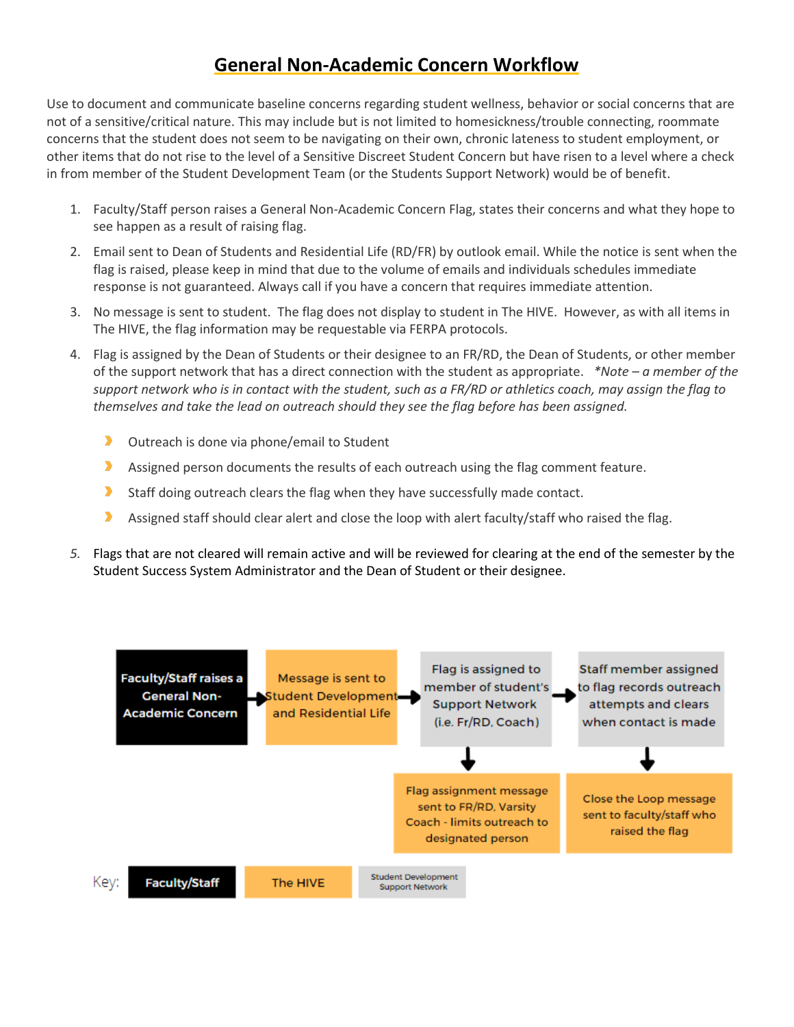## **General Non-Academic Concern Workflow**

Use to document and communicate baseline concerns regarding student wellness, behavior or social concerns that are not of a sensitive/critical nature. This may include but is not limited to homesickness/trouble connecting, roommate concerns that the student does not seem to be navigating on their own, chronic lateness to student employment, or other items that do not rise to the level of a Sensitive Discreet Student Concern but have risen to a level where a check in from member of the Student Development Team (or the Students Support Network) would be of benefit.

- 1. Faculty/Staff person raises a General Non-Academic Concern Flag, states their concerns and what they hope to see happen as a result of raising flag.
- 2. Email sent to Dean of Students and Residential Life (RD/FR) by outlook email. While the notice is sent when the flag is raised, please keep in mind that due to the volume of emails and individuals schedules immediate response is not guaranteed. Always call if you have a concern that requires immediate attention.
- 3. No message is sent to student. The flag does not display to student in The HIVE. However, as with all items in The HIVE, the flag information may be requestable via FERPA protocols.
- 4. Flag is assigned by the Dean of Students or their designee to an FR/RD, the Dean of Students, or other member of the support network that has a direct connection with the student as appropriate. *\*Note – a member of the support network who is in contact with the student, such as a FR/RD or athletics coach, may assign the flag to themselves and take the lead on outreach should they see the flag before has been assigned.*
	- $\blacktriangleright$ Outreach is done via phone/email to Student
	- $\blacktriangleright$ Assigned person documents the results of each outreach using the flag comment feature.
	- $\blacktriangleright$ Staff doing outreach clears the flag when they have successfully made contact.
	- Assigned staff should clear alert and close the loop with alert faculty/staff who raised the flag. D.
- *5.* Flags that are not cleared will remain active and will be reviewed for clearing at the end of the semester by the Student Success System Administrator and the Dean of Student or their designee.